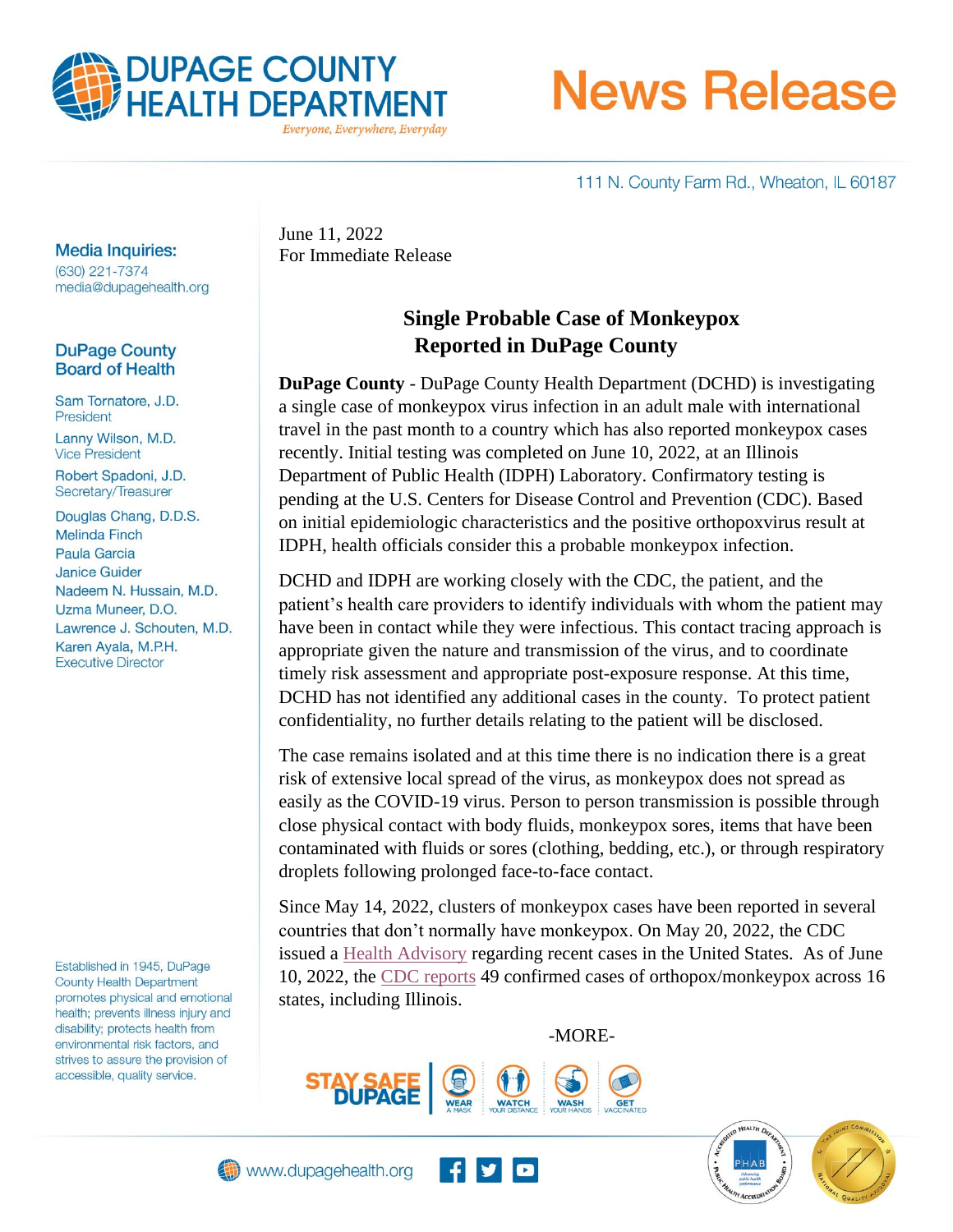

**News Release** 

111 N. County Farm Rd., Wheaton, IL 60187

#### **Media Inquiries:**

(630) 221-7374 media@dupagehealth.org

#### **DuPage County Board of Health**

Sam Tornatore, J.D. President Lanny Wilson, M.D. **Vice President** 

Robert Spadoni, J.D. Secretary/Treasurer

Douglas Chang, D.D.S. **Melinda Finch Paula Garcia Janice Guider** Nadeem N. Hussain, M.D. Uzma Muneer, D.O. Lawrence J. Schouten, M.D. Karen Ayala, M.P.H. **Executive Director** 

Established in 1945, DuPage **County Health Department** promotes physical and emotional health; prevents illness injury and disability; protects health from environmental risk factors, and strives to assure the provision of accessible, quality service.

June 11, 2022 For Immediate Release

# **Single Probable Case of Monkeypox Reported in DuPage County**

**DuPage County** - DuPage County Health Department (DCHD) is investigating a single case of monkeypox virus infection in an adult male with international travel in the past month to a country which has also reported monkeypox cases recently. Initial testing was completed on June 10, 2022, at an Illinois Department of Public Health (IDPH) Laboratory. Confirmatory testing is pending at the U.S. Centers for Disease Control and Prevention (CDC). Based on initial epidemiologic characteristics and the positive orthopoxvirus result at IDPH, health officials consider this a probable monkeypox infection.

DCHD and IDPH are working closely with the CDC, the patient, and the patient's health care providers to identify individuals with whom the patient may have been in contact while they were infectious. This contact tracing approach is appropriate given the nature and transmission of the virus, and to coordinate timely risk assessment and appropriate post-exposure response. At this time, DCHD has not identified any additional cases in the county. To protect patient confidentiality, no further details relating to the patient will be disclosed.

The case remains isolated and at this time there is no indication there is a great risk of extensive local spread of the virus, as monkeypox does not spread as easily as the COVID-19 virus. Person to person transmission is possible through close physical contact with body fluids, monkeypox sores, items that have been contaminated with fluids or sores (clothing, bedding, etc.), or through respiratory droplets following prolonged face-to-face contact.

Since May 14, 2022, clusters of monkeypox cases have been reported in several countries that don't normally have monkeypox. On May 20, 2022, the CDC issued a [Health Advisory](https://emergency.cdc.gov/han/2022/han00466.asp?utm_source=floridahealth.gov&utm_medium=referral&utm_campaign=newsroom&utm_content=article&url_trace_7f2r5y6=https://www.floridahealth.gov/newsroom/2022/05/20220522-fdoh-in-broward-is-responding-to-monkeypox-case.html) regarding recent cases in the United States. As of June 10, 2022, the [CDC reports](https://www.cdc.gov/poxvirus/monkeypox/response/2022/us-map.html) 49 confirmed cases of orthopox/monkeypox across 16 states, including Illinois.

-MORE-





**AFALTA**